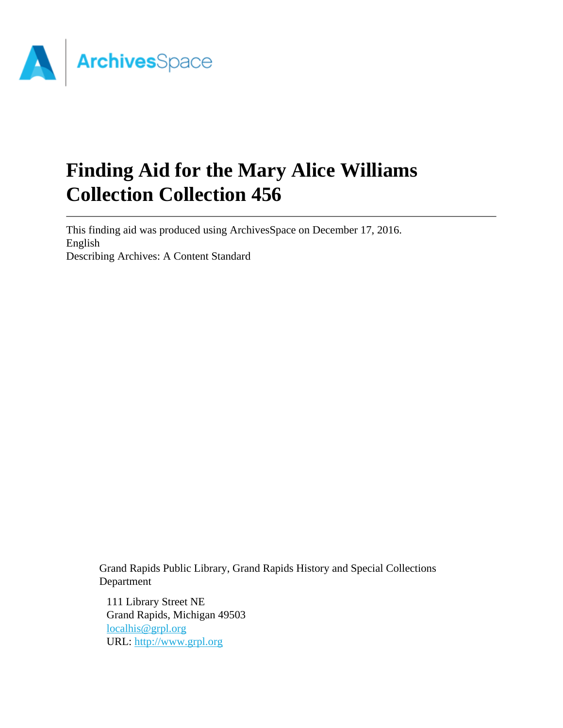

# **Finding Aid for the Mary Alice Williams Collection Collection 456**

This finding aid was produced using ArchivesSpace on December 17, 2016. English Describing Archives: A Content Standard

Grand Rapids Public Library, Grand Rapids History and Special Collections Department

111 Library Street NE Grand Rapids, Michigan 49503 [localhis@grpl.org](mailto:localhis@grpl.org) URL:<http://www.grpl.org>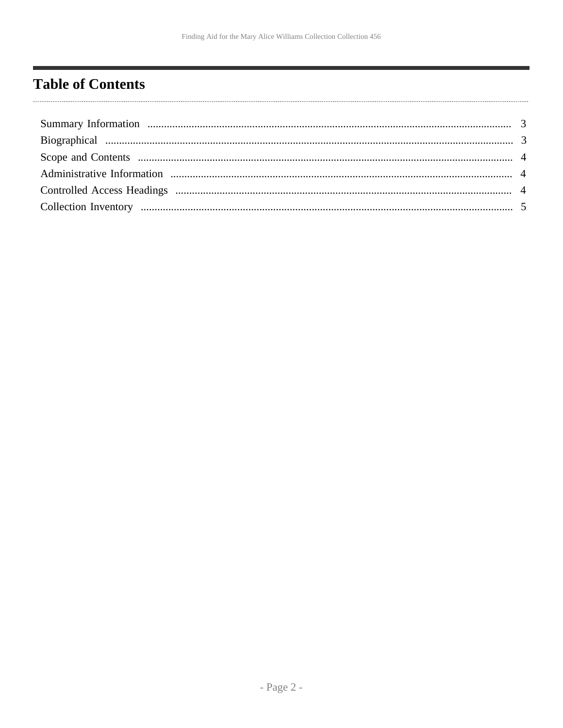### <span id="page-1-0"></span>**Table of Contents**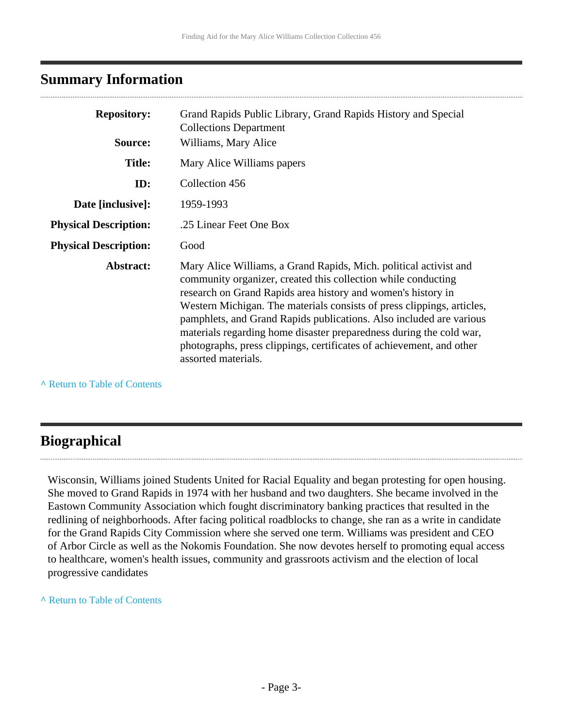#### <span id="page-2-0"></span>**Summary Information**

| <b>Repository:</b>           | Grand Rapids Public Library, Grand Rapids History and Special<br><b>Collections Department</b>                                                                                                                                                                                                                                                                                                                                                                                                                            |
|------------------------------|---------------------------------------------------------------------------------------------------------------------------------------------------------------------------------------------------------------------------------------------------------------------------------------------------------------------------------------------------------------------------------------------------------------------------------------------------------------------------------------------------------------------------|
| Source:                      | Williams, Mary Alice                                                                                                                                                                                                                                                                                                                                                                                                                                                                                                      |
| <b>Title:</b>                | Mary Alice Williams papers                                                                                                                                                                                                                                                                                                                                                                                                                                                                                                |
| ID:                          | Collection 456                                                                                                                                                                                                                                                                                                                                                                                                                                                                                                            |
| Date [inclusive]:            | 1959-1993                                                                                                                                                                                                                                                                                                                                                                                                                                                                                                                 |
| <b>Physical Description:</b> | .25 Linear Feet One Box                                                                                                                                                                                                                                                                                                                                                                                                                                                                                                   |
| <b>Physical Description:</b> | Good                                                                                                                                                                                                                                                                                                                                                                                                                                                                                                                      |
| Abstract:                    | Mary Alice Williams, a Grand Rapids, Mich. political activist and<br>community organizer, created this collection while conducting<br>research on Grand Rapids area history and women's history in<br>Western Michigan. The materials consists of press clippings, articles,<br>pamphlets, and Grand Rapids publications. Also included are various<br>materials regarding home disaster preparedness during the cold war,<br>photographs, press clippings, certificates of achievement, and other<br>assorted materials. |

**^** [Return to Table of Contents](#page-1-0)

#### <span id="page-2-1"></span>**Biographical**

Wisconsin, Williams joined Students United for Racial Equality and began protesting for open housing. She moved to Grand Rapids in 1974 with her husband and two daughters. She became involved in the Eastown Community Association which fought discriminatory banking practices that resulted in the redlining of neighborhoods. After facing political roadblocks to change, she ran as a write in candidate for the Grand Rapids City Commission where she served one term. Williams was president and CEO of Arbor Circle as well as the Nokomis Foundation. She now devotes herself to promoting equal access to healthcare, women's health issues, community and grassroots activism and the election of local progressive candidates

**^** [Return to Table of Contents](#page-1-0)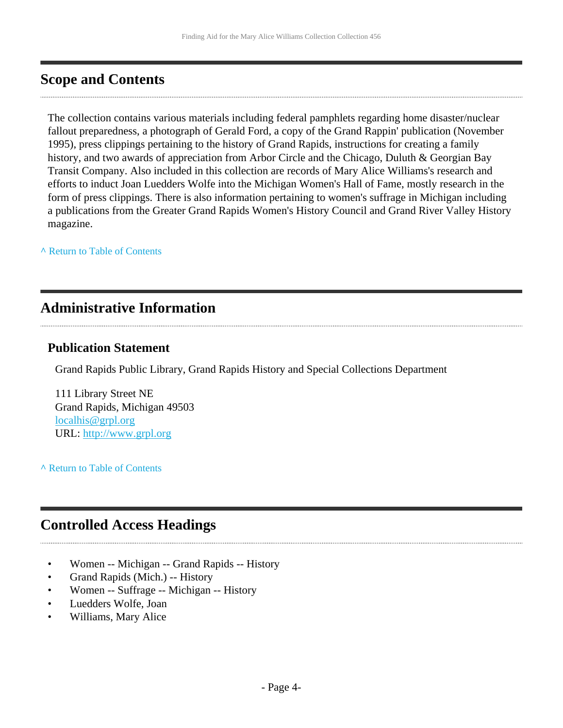#### <span id="page-3-0"></span>**Scope and Contents**

The collection contains various materials including federal pamphlets regarding home disaster/nuclear fallout preparedness, a photograph of Gerald Ford, a copy of the Grand Rappin' publication (November 1995), press clippings pertaining to the history of Grand Rapids, instructions for creating a family history, and two awards of appreciation from Arbor Circle and the Chicago, Duluth & Georgian Bay Transit Company. Also included in this collection are records of Mary Alice Williams's research and efforts to induct Joan Luedders Wolfe into the Michigan Women's Hall of Fame, mostly research in the form of press clippings. There is also information pertaining to women's suffrage in Michigan including a publications from the Greater Grand Rapids Women's History Council and Grand River Valley History magazine.

**^** [Return to Table of Contents](#page-1-0)

#### <span id="page-3-1"></span>**Administrative Information**

#### **Publication Statement**

Grand Rapids Public Library, Grand Rapids History and Special Collections Department

111 Library Street NE Grand Rapids, Michigan 49503 [localhis@grpl.org](mailto:localhis@grpl.org) URL:<http://www.grpl.org>

**^** [Return to Table of Contents](#page-1-0)

#### <span id="page-3-2"></span>**Controlled Access Headings**

- Women -- Michigan -- Grand Rapids -- History
- Grand Rapids (Mich.) -- History
- Women -- Suffrage -- Michigan -- History
- Luedders Wolfe, Joan
- Williams, Mary Alice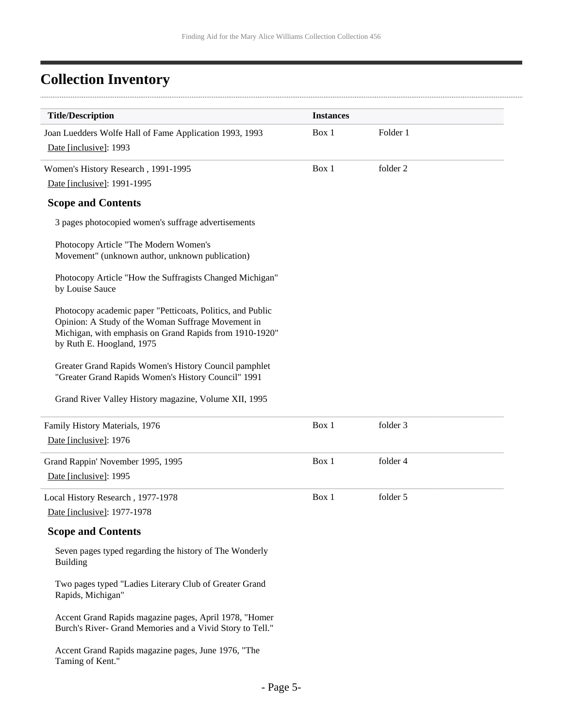. . . . . .

## <span id="page-4-0"></span>**Collection Inventory**

| <b>Title/Description</b>                                                                                                                                                                                 | <b>Instances</b> |          |  |
|----------------------------------------------------------------------------------------------------------------------------------------------------------------------------------------------------------|------------------|----------|--|
|                                                                                                                                                                                                          | Box 1            | Folder 1 |  |
| Joan Luedders Wolfe Hall of Fame Application 1993, 1993<br>Date [inclusive]: 1993                                                                                                                        |                  |          |  |
|                                                                                                                                                                                                          |                  |          |  |
| Women's History Research, 1991-1995                                                                                                                                                                      | Box 1            | folder 2 |  |
| Date [inclusive]: 1991-1995                                                                                                                                                                              |                  |          |  |
| <b>Scope and Contents</b>                                                                                                                                                                                |                  |          |  |
| 3 pages photocopied women's suffrage advertisements                                                                                                                                                      |                  |          |  |
| Photocopy Article "The Modern Women's<br>Movement" (unknown author, unknown publication)                                                                                                                 |                  |          |  |
| Photocopy Article "How the Suffragists Changed Michigan"<br>by Louise Sauce                                                                                                                              |                  |          |  |
| Photocopy academic paper "Petticoats, Politics, and Public<br>Opinion: A Study of the Woman Suffrage Movement in<br>Michigan, with emphasis on Grand Rapids from 1910-1920"<br>by Ruth E. Hoogland, 1975 |                  |          |  |
| Greater Grand Rapids Women's History Council pamphlet<br>"Greater Grand Rapids Women's History Council" 1991                                                                                             |                  |          |  |
| Grand River Valley History magazine, Volume XII, 1995                                                                                                                                                    |                  |          |  |
| Family History Materials, 1976                                                                                                                                                                           | Box 1            | folder 3 |  |
| Date [inclusive]: 1976                                                                                                                                                                                   |                  |          |  |
| Grand Rappin' November 1995, 1995                                                                                                                                                                        | Box 1            | folder 4 |  |
| Date [inclusive]: 1995                                                                                                                                                                                   |                  |          |  |
| Local History Research, 1977-1978                                                                                                                                                                        | Box 1            | folder 5 |  |
| Date [inclusive]: 1977-1978                                                                                                                                                                              |                  |          |  |
| <b>Scope and Contents</b>                                                                                                                                                                                |                  |          |  |
|                                                                                                                                                                                                          |                  |          |  |
| Seven pages typed regarding the history of The Wonderly<br><b>Building</b>                                                                                                                               |                  |          |  |
| Two pages typed "Ladies Literary Club of Greater Grand<br>Rapids, Michigan"                                                                                                                              |                  |          |  |
| Accent Grand Rapids magazine pages, April 1978, "Homer<br>Burch's River- Grand Memories and a Vivid Story to Tell."                                                                                      |                  |          |  |
| Accent Grand Rapids magazine pages, June 1976, "The<br>Taming of Kent."                                                                                                                                  |                  |          |  |